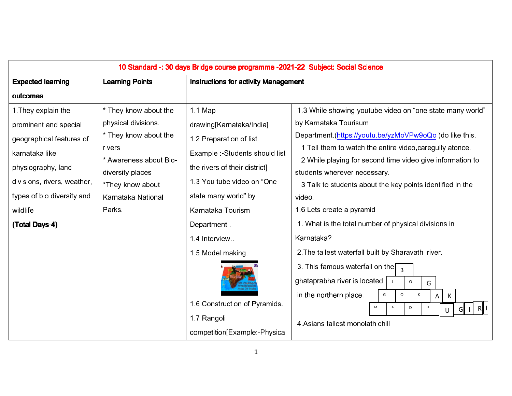| 10 Standard -: 30 days Bridge course programme -2021-22 Subject: Social Science                                                                                                                            |                                                                                                                                                                                         |                                                                                                                                                                                                                                                                                                                                                    |                                                                                                                                                                                                                                                                                                                                                                                                                                                                                                                                                                                                                                                                                                                                                    |  |
|------------------------------------------------------------------------------------------------------------------------------------------------------------------------------------------------------------|-----------------------------------------------------------------------------------------------------------------------------------------------------------------------------------------|----------------------------------------------------------------------------------------------------------------------------------------------------------------------------------------------------------------------------------------------------------------------------------------------------------------------------------------------------|----------------------------------------------------------------------------------------------------------------------------------------------------------------------------------------------------------------------------------------------------------------------------------------------------------------------------------------------------------------------------------------------------------------------------------------------------------------------------------------------------------------------------------------------------------------------------------------------------------------------------------------------------------------------------------------------------------------------------------------------------|--|
| <b>Expected learning</b>                                                                                                                                                                                   | <b>Learning Points</b>                                                                                                                                                                  | <b>Instructions for activity Management</b>                                                                                                                                                                                                                                                                                                        |                                                                                                                                                                                                                                                                                                                                                                                                                                                                                                                                                                                                                                                                                                                                                    |  |
| outcomes                                                                                                                                                                                                   |                                                                                                                                                                                         |                                                                                                                                                                                                                                                                                                                                                    |                                                                                                                                                                                                                                                                                                                                                                                                                                                                                                                                                                                                                                                                                                                                                    |  |
| 1 They explain the<br>prominent and special<br>geographical features of<br>karnataka like<br>physiography, land<br>divisions, rivers, weather,<br>types of bio diversity and<br>wildlife<br>(Total Days-4) | * They know about the<br>physical divisions.<br>* They know about the<br>rivers<br>* Awareness about Bio-<br>diversity places<br>*They know about<br>Karnataka National<br><b>Parks</b> | 1.1 Map<br>drawing[Karnataka/India]<br>1.2 Preparation of list.<br>Example :- Students should list<br>the rivers of their district]<br>1.3 You tube video on "One<br>state many world" by<br>Karnataka Tourism<br>Department<br>14 Interview<br>1.5 Model making.<br>1.6 Construction of Pyramids.<br>1.7 Rangoli<br>competition[Example:-Physical | 1.3 While showing youtube video on "one state many world"<br>by Karnataka Tourisum<br>Department (https://youtu.be/yzMoVPw9oQo)do like this.<br>1 Tell them to watch the entire video, caregully atonce.<br>2 While playing for second time video give information to<br>students wherever necessary.<br>3 Talk to students about the key points identified in the<br>video<br>1.6 Lets create a pyramid<br>1. What is the total number of physical divisions in<br>Karnataka?<br>2. The tallest waterfall built by Sharavathi river.<br>3. This famous waterfall on the<br>ghataprabha river is located<br>$\circ$<br>G<br>in the northern place.<br>G<br>$\mathsf K$<br>$\circ$<br>К<br>A<br>M<br>А<br>D<br>U<br>4 Asians tallest monolathichill |  |
|                                                                                                                                                                                                            |                                                                                                                                                                                         |                                                                                                                                                                                                                                                                                                                                                    |                                                                                                                                                                                                                                                                                                                                                                                                                                                                                                                                                                                                                                                                                                                                                    |  |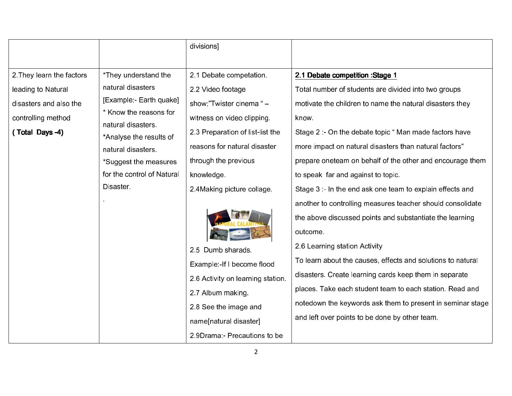|                           |                                             | divisions                         |                                                             |
|---------------------------|---------------------------------------------|-----------------------------------|-------------------------------------------------------------|
|                           |                                             |                                   |                                                             |
| 2. They learn the factors | *They understand the                        | 2.1 Debate competation            | 2.1 Debate competition : Stage 1                            |
| leading to Natural        | natural disasters                           | 2.2 Video footage                 | Total number of students are divided into two groups        |
| disasters and also the    | [Example - Earth quake]                     | show;"Twister cinema " -          | motivate the children to name the natural disasters they    |
| controlling method        | * Know the reasons for<br>natural disasters | witness on video clipping.        | know.                                                       |
| (Total Days -4)           | *Analyse the results of                     | 2.3 Preparation of list-list the  | Stage 2 :- On the debate topic "Man made factors have       |
|                           | natural disasters                           | reasons for natural disaster      | more impact on natural disasters than natural factors"      |
|                           | *Suggest the measures                       | through the previous              | prepare oneteam on behalf of the other and encourage them   |
|                           | for the control of Natural                  | knowledge.                        | to speak far and against to topic.                          |
|                           | Disaster.                                   | 2 4 Making picture collage        | Stage 3 :- In the end ask one team to explain effects and   |
|                           |                                             |                                   | another to controlling measures teacher should consolidate  |
|                           |                                             |                                   | the above discussed points and substantiate the learning    |
|                           |                                             |                                   | outcome.                                                    |
|                           |                                             | 2.5 Dumb sharads.                 | 2.6 Learning station Activity                               |
|                           |                                             | Example:-If I become flood        | To learn about the causes, effects and solutions to natural |
|                           |                                             | 2.6 Activity on learning station. | disasters. Create learning cards keep them in separate      |
|                           |                                             | 2.7 Album making.                 | places. Take each student team to each station. Read and    |
|                           |                                             | 2.8 See the image and             | notedown the keywords ask them to present in seminar stage  |
|                           |                                             | name[natural disaster]            | and left over points to be done by other team.              |
|                           |                                             | 2 9Drama - Precautions to be      |                                                             |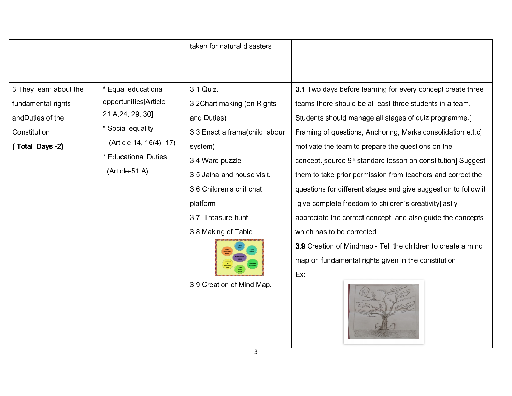|                        |                           | taken for natural disasters.   |                                                                          |  |  |
|------------------------|---------------------------|--------------------------------|--------------------------------------------------------------------------|--|--|
|                        |                           |                                |                                                                          |  |  |
|                        |                           |                                |                                                                          |  |  |
| 3 They learn about the | * Equal educational       | 3 1 Quiz                       | 3.1 Two days before learning for every concept create three              |  |  |
| fundamental rights     | opportunities[Article     | 3.2Chart making (on Rights)    | teams there should be at least three students in a team.                 |  |  |
| andDuties of the       | 21 A, 24, 29, 30]         | and Duties)                    | Students should manage all stages of quiz programme [                    |  |  |
| Constitution           | * Social equality         | 3.3 Enact a frama(child labour | Framing of questions, Anchoring, Marks consolidation e.t.c]              |  |  |
| (Total Days -2)        | (Article 14, 16(4), 17)   | system)                        | motivate the team to prepare the questions on the                        |  |  |
|                        | <b>Educational Duties</b> | 3.4 Ward puzzle                | concept [source 9 <sup>th</sup> standard lesson on constitution] Suggest |  |  |
|                        | (Article-51 A)            | 3.5 Jatha and house visit.     | them to take prior permission from teachers and correct the              |  |  |
|                        |                           | 3.6 Children's chit chat       | questions for different stages and give suggestion to follow it          |  |  |
|                        |                           | platform                       | [give complete freedom to children's creativity] lastly                  |  |  |
|                        |                           | 3.7 Treasure hunt              | appreciate the correct concept, and also guide the concepts              |  |  |
|                        |                           | 3.8 Making of Table.           | which has to be corrected.                                               |  |  |
|                        |                           |                                | 3.9 Creation of Mindmap:- Tell the children to create a mind             |  |  |
|                        |                           |                                | map on fundamental rights given in the constitution                      |  |  |
|                        |                           |                                | $Ex -$                                                                   |  |  |
|                        |                           | 3.9 Creation of Mind Map.      |                                                                          |  |  |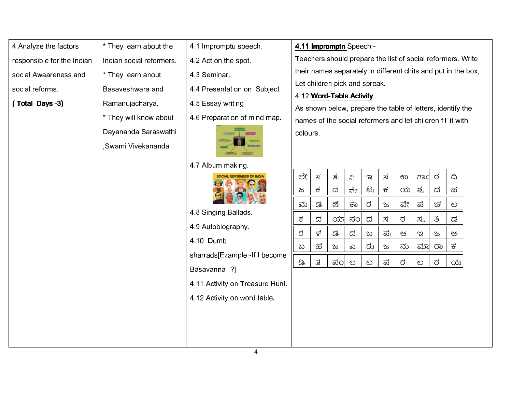4.Analyze the factors responsible for the Indian social Awaareness and social reforms.

4 Analyze the factors  $\begin{bmatrix} \star \end{bmatrix}$  They learn about the  $\begin{bmatrix} 1 \end{bmatrix}$  responsible for the Indian social reformers.<br>
social Awaareness and  $\begin{bmatrix} \star \end{bmatrix}$  They learn anout Basaveshwara and Ramanujacharya. \* They will know about Dayananda Saraswathi

,Swami Vivekananda

4.2 Act on the spot.

4.1 Impromptu speech.

- 4.3 Seminar.
- 4.4 Presentation on Subject
- 4.5 Essay writing
- 





- 
- 4.9 Autobiography.
- 4.10 Dumb
- sharrads[Ezample:-If I become
- Basavanna--?]
- 4.11 Activity on Treasure Hunt.
- 

| 4.1 Impromptu speech.           | 4.11 Impromptn Speech -                                       |                               |                          |                 |    |     |       |     |    |                                                             |  |
|---------------------------------|---------------------------------------------------------------|-------------------------------|--------------------------|-----------------|----|-----|-------|-----|----|-------------------------------------------------------------|--|
| 4.2 Act on the spot.            | Teachers should prepare the list of social reformers. Write   |                               |                          |                 |    |     |       |     |    |                                                             |  |
| 4 3 Seminar                     | their names separately in different chits and put in the box, |                               |                          |                 |    |     |       |     |    |                                                             |  |
| 4.4 Presentation on Subject     |                                                               | Let children pick and spreak. |                          |                 |    |     |       |     |    |                                                             |  |
|                                 |                                                               |                               | 4.12 Word-Table Activity |                 |    |     |       |     |    |                                                             |  |
| 4.5 Essay writing               |                                                               |                               |                          |                 |    |     |       |     |    | As shown below, prepare the table of letters, identify the  |  |
| 4.6 Preparation of mind map.    |                                                               |                               |                          |                 |    |     |       |     |    | names of the social reformers and let children fill it with |  |
|                                 | colours.                                                      |                               |                          |                 |    |     |       |     |    |                                                             |  |
| 4.7 Album making.               |                                                               |                               |                          |                 |    |     |       |     |    |                                                             |  |
| <b>AL REFORMERS OF INDIA</b>    | ಲೇ                                                            | ಸ                             | ತ್ರ                      | $\sum_{\alpha}$ | ಇ  | ಸ   | ಉ     | mod | ರ  | ದಿ                                                          |  |
|                                 | ಜ                                                             | ಕ                             | ದ                        | ನೇ              | ಟ  | ಕ   | ಯ $ $ | ಶ್ವ | ದ  | ಪ                                                           |  |
|                                 | ಮ                                                             | ಡ                             | ಣೆ                       | ಕಾ              | ರ  | ಜ   | ವೇ    | ಪ   | ಚ  | ಲ                                                           |  |
| 4.8 Singing Ballads.            | ಕ                                                             | ದ                             | ಯ                        | ನಂ              | ದ  | ಸ   | ರ     | ಸ್ತ | ತಿ | ಡ                                                           |  |
| 4.9 Autobiography               | ರ                                                             | ಳ                             | ಡ                        | ದ               | ಬ  | ಪ್ರ | ಆ     | ಇ   | ಜ  | ಅ                                                           |  |
| 4.10 Dumb                       |                                                               | ಹ                             |                          |                 | ರು |     | ನು    | ಮಾ  |    | ಕ                                                           |  |
| sharrads[Ezample:-If I become   | ಬ                                                             |                               | ಜ                        | ಎ               |    | ಜ   |       |     | ರಾ |                                                             |  |
| Basavanna--?]                   | ಡಿ                                                            | ತ                             | ಪಂ                       | ಲ               | ಲ  | ಪ   | ರ     | ಲ   | ರ  | $\infty$                                                    |  |
|                                 |                                                               |                               |                          |                 |    |     |       |     |    |                                                             |  |
| 4.11 Activity on Treasure Hunt. |                                                               |                               |                          |                 |    |     |       |     |    |                                                             |  |
| 4.12 Activity on word table.    |                                                               |                               |                          |                 |    |     |       |     |    |                                                             |  |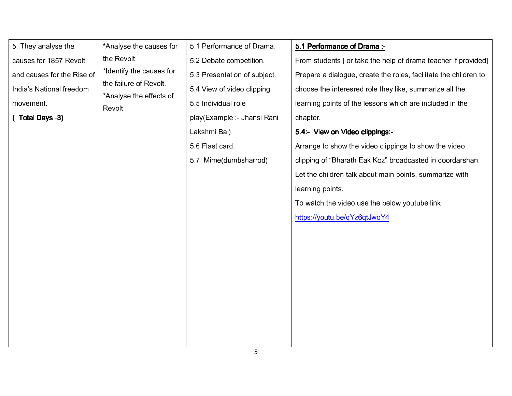| 5. They analyse the        | *Analyse the causes for                                                                 | 5.1 Performance of Drama     | 5.1 Performance of Drama :-                                      |
|----------------------------|-----------------------------------------------------------------------------------------|------------------------------|------------------------------------------------------------------|
| causes for 1857 Revolt     | the Revolt                                                                              | 5.2 Debate competition.      | From students [ or take the help of drama teacher if provided]   |
| and causes for the Rise of | *Identify the causes for<br>the failure of Revolt.<br>*Analyse the effects of<br>Revolt | 5.3 Presentation of subject. | Prepare a dialogue, create the roles, facilitate the children to |
| India's National freedom   |                                                                                         | 5.4 View of video clipping.  | choose the interesred role they like, summarize all the          |
| movement.                  |                                                                                         | 5 5 Individual role          | learning points of the lessons which are included in the         |
| (Total Days -3)            |                                                                                         | play(Example - Jhansi Rani   | chapter.                                                         |
|                            |                                                                                         | Lakshmi Bai)                 | 5.4:- View on Video clippings:-                                  |
|                            |                                                                                         | 5.6 Flast card.              | Arrange to show the video clippings to show the video            |
|                            |                                                                                         | 5.7 Mime(dumbsharrod)        | clipping of "Bharath Eak Koz" broadcasted in doordarshan.        |
|                            |                                                                                         |                              | Let the children talk about main points, summarize with          |
|                            |                                                                                         |                              | learning points.                                                 |
|                            |                                                                                         |                              | To watch the video use the below youtube link                    |
|                            |                                                                                         |                              | https://youtu.be/qYz6qtJwoY4                                     |
|                            |                                                                                         |                              |                                                                  |
|                            |                                                                                         |                              |                                                                  |
|                            |                                                                                         |                              |                                                                  |
|                            |                                                                                         |                              |                                                                  |
|                            |                                                                                         |                              |                                                                  |
|                            |                                                                                         |                              |                                                                  |
|                            |                                                                                         |                              |                                                                  |
|                            |                                                                                         |                              |                                                                  |
|                            |                                                                                         |                              |                                                                  |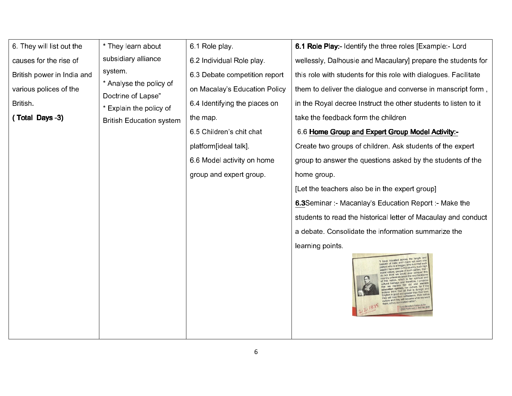| 6. They will list out the  | * They learn about                                              | 6.1 Role play.                | 6.1 Role Play:- Identify the three roles [Example:- Lord                                                                                                                                                                                 |                                                                  |
|----------------------------|-----------------------------------------------------------------|-------------------------------|------------------------------------------------------------------------------------------------------------------------------------------------------------------------------------------------------------------------------------------|------------------------------------------------------------------|
| causes for the rise of     | subsidiary alliance<br>system.<br>* Analyse the policy of       | 6.2 Individual Role play      | wellessly, Dalhousie and Macaulary] prepare the students for                                                                                                                                                                             |                                                                  |
| British power in India and |                                                                 |                               | 6.3 Debate competition report                                                                                                                                                                                                            | this role with students for this role with dialogues. Facilitate |
| various polices of the     |                                                                 | on Macalay's Education Policy | them to deliver the dialogue and converse in manscript form,                                                                                                                                                                             |                                                                  |
| <b>British</b>             | Doctrine of Lapse"                                              | 6.4 Identifying the places on | in the Royal decree Instruct the other students to listen to it                                                                                                                                                                          |                                                                  |
| (Total Days -3)            | <b>Explain the policy of</b><br><b>British Education system</b> | the map.                      | take the feedback form the children                                                                                                                                                                                                      |                                                                  |
|                            |                                                                 | 6.5 Children's chit chat      | 6.6 Home Group and Expert Group Model Activity:-                                                                                                                                                                                         |                                                                  |
|                            |                                                                 | platform[ideal talk].         | Create two groups of children. Ask students of the expert                                                                                                                                                                                |                                                                  |
|                            |                                                                 | 6.6 Model activity on home    | group to answer the questions asked by the students of the                                                                                                                                                                               |                                                                  |
|                            |                                                                 | group and expert group.       | home group.                                                                                                                                                                                                                              |                                                                  |
|                            |                                                                 |                               | [Let the teachers also be in the expert group]                                                                                                                                                                                           |                                                                  |
|                            |                                                                 |                               | <b>6.3</b> Seminar :- Macanlay's Education Report :- Make the                                                                                                                                                                            |                                                                  |
|                            |                                                                 |                               | students to read the historical letter of Macaulay and conduct                                                                                                                                                                           |                                                                  |
|                            |                                                                 |                               | a debate. Consolidate the information summarize the                                                                                                                                                                                      |                                                                  |
|                            |                                                                 |                               | learning points.                                                                                                                                                                                                                         |                                                                  |
|                            |                                                                 |                               | "I have travelled across<br>readth of India and I have not seen on<br>who is a beggar, who is a thief such<br>culture, for if the<br>that is foreign an<br>culture and they will become what we wi<br>British Parliament on 2nd Feb 1835 |                                                                  |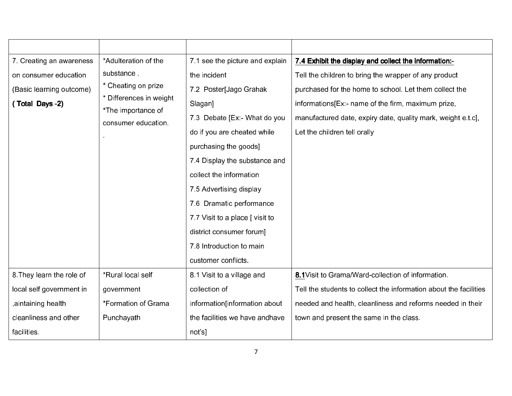| 7. Creating an awareness  | *Adulteration of the                      | 7.1 see the picture and explain | 7.4 Exhibit the display and collect the information:-             |
|---------------------------|-------------------------------------------|---------------------------------|-------------------------------------------------------------------|
| on consumer education     | substance                                 | the incident                    | Tell the children to bring the wrapper of any product             |
| (Basic learning outcome)  | * Cheating on prize                       | 7.2 Poster[Jago Grahak          | purchased for the home to school. Let them collect the            |
| (Total Days -2)           | Differences in weight                     | Slagan]                         | informations [Ex:- name of the firm, maximum prize,               |
|                           | *The importance of<br>consumer education. | 7.3 Debate [Ex: - What do you   | manufactured date, expiry date, quality mark, weight e t.c.       |
|                           |                                           | do if you are cheated while     | Let the children tell orally                                      |
|                           |                                           | purchasing the goods]           |                                                                   |
|                           |                                           | 7.4 Display the substance and   |                                                                   |
|                           |                                           | collect the information         |                                                                   |
|                           |                                           | 7.5 Advertising display         |                                                                   |
|                           |                                           | 7.6 Dramatic performance        |                                                                   |
|                           |                                           | 7.7 Visit to a place [ visit to |                                                                   |
|                           |                                           | district consumer forum]        |                                                                   |
|                           |                                           | 7.8 Introduction to main        |                                                                   |
|                           |                                           | customer conflicts.             |                                                                   |
| 8. They learn the role of | *Rural local self                         | 8.1 Visit to a village and      | 8.1 Visit to Grama/Ward-collection of information.                |
| local self government in  | government                                | collection of                   | Tell the students to collect the information about the facilities |
| aintaining health,        | *Formation of Grama                       | information[information about   | needed and health, cleanliness and reforms needed in their        |
| cleanliness and other     | Punchayath                                | the facilities we have andhave  | town and present the same in the class.                           |
| facilities.               |                                           | not's]                          |                                                                   |
|                           |                                           |                                 |                                                                   |
|                           |                                           | 7                               |                                                                   |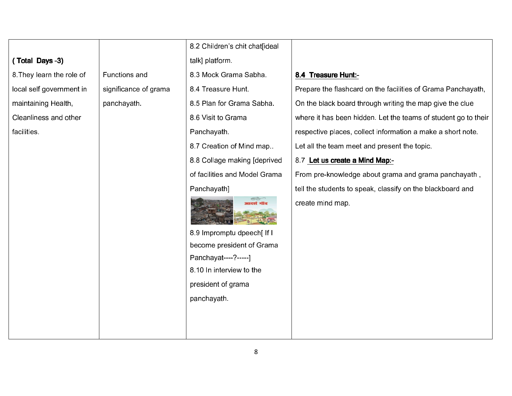|                           |                       | 8.2 Children's chit chat[ideal                          |                                                                |  |  |  |
|---------------------------|-----------------------|---------------------------------------------------------|----------------------------------------------------------------|--|--|--|
| (Total Days -3)           |                       | talk] platform.                                         |                                                                |  |  |  |
| 8. They learn the role of | <b>Functions and</b>  | 8.3 Mock Grama Sabha.                                   | 8.4 Treasure Hunt:-                                            |  |  |  |
| local self government in  | significance of grama | 8 4 Treasure Hunt                                       | Prepare the flashcard on the facilities of Grama Panchayath,   |  |  |  |
| maintaining Health,       | panchayath            | 8.5 Plan for Grama Sabha.                               | On the black board through writing the map give the clue       |  |  |  |
| Cleanliness and other     |                       | 8 6 Visit to Grama                                      | where it has been hidden. Let the teams of student go to their |  |  |  |
| facilities                |                       | Panchayath.                                             | respective places, collect information a make a short note.    |  |  |  |
|                           |                       | 8.7 Creation of Mind map                                | Let all the team meet and present the topic.                   |  |  |  |
|                           |                       | 8.8 Collage making [deprived                            | 8.7 Let us create a Mind Map:-                                 |  |  |  |
|                           |                       | of facilities and Model Grama                           | From pre-knowledge about grama and grama panchayath,           |  |  |  |
|                           |                       | Panchayath]                                             | tell the students to speak, classify on the blackboard and     |  |  |  |
|                           |                       |                                                         | create mind map                                                |  |  |  |
|                           |                       | 8.9 Impromptu dpeech[ If I<br>become president of Grama |                                                                |  |  |  |
|                           |                       | Panchayat----?-----]                                    |                                                                |  |  |  |
|                           |                       | 8.10 In interview to the                                |                                                                |  |  |  |
|                           |                       | president of grama                                      |                                                                |  |  |  |
|                           |                       | panchayath.                                             |                                                                |  |  |  |
|                           |                       |                                                         |                                                                |  |  |  |
|                           |                       |                                                         |                                                                |  |  |  |
|                           |                       |                                                         |                                                                |  |  |  |
|                           | 8                     |                                                         |                                                                |  |  |  |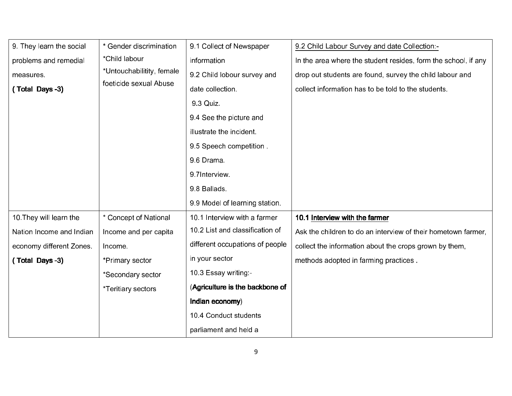| 9. They learn the social | Gender discrimination      | 9.1 Collect of Newspaper        | 9.2 Child Labour Survey and date Collection:-                  |
|--------------------------|----------------------------|---------------------------------|----------------------------------------------------------------|
| problems and remedial    | *Child labour              | information                     | In the area where the student resides, form the school, if any |
| measures.                | *Untouchabilitity, female  | 9.2 Child lobour survey and     | drop out students are found, survey the child labour and       |
| (Total Days -3)          | foeticide sexual Abuse     | date collection                 | collect information has to be told to the students.            |
|                          |                            | 9 3 Quiz                        |                                                                |
|                          |                            | 9 4 See the picture and         |                                                                |
|                          |                            | illustrate the incident.        |                                                                |
|                          |                            | 9.5 Speech competition.         |                                                                |
|                          |                            | 9.6 Drama                       |                                                                |
|                          |                            | 9 7 Interview                   |                                                                |
|                          |                            | 9 8 Ballads                     |                                                                |
|                          |                            | 9.9 Model of learning station.  |                                                                |
| 10. They will learn the  | <b>Concept of National</b> | 10.1 Interview with a farmer    | 10.1 Interview with the farmer                                 |
| Nation Income and Indian | Income and per capita      | 10.2 List and classification of | Ask the children to do an interview of their hometown farmer,  |
| economy different Zones. | Income.                    | different occupations of people | collect the information about the crops grown by them,         |
| (Total Days -3)          | *Primary sector            | in your sector                  | methods adopted in farming practices.                          |
|                          | *Secondary sector          | 10.3 Essay writing -            |                                                                |
|                          | *Teritiary sectors         | (Agriculture is the backbone of |                                                                |
|                          |                            | Indian economy)                 |                                                                |
|                          |                            | 10.4 Conduct students           |                                                                |
|                          |                            | parliament and held a           |                                                                |